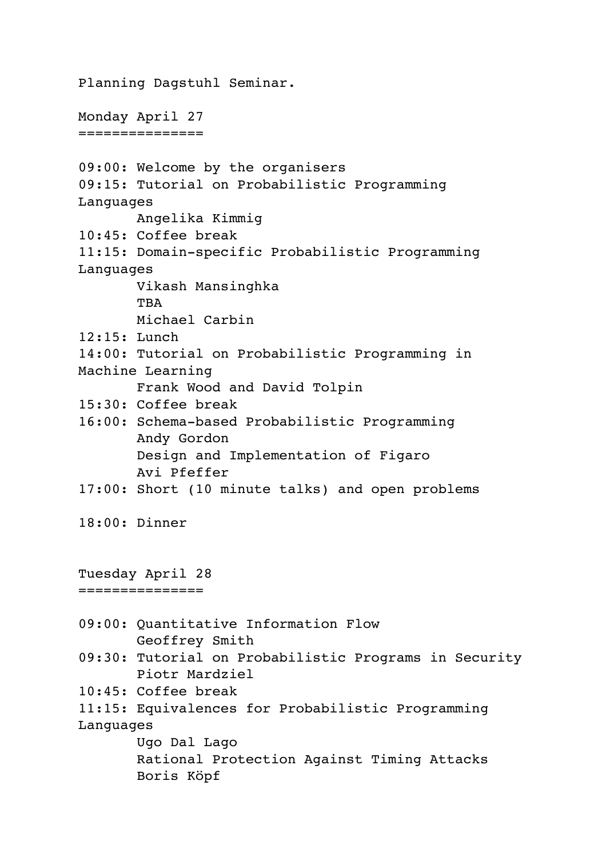Planning Dagstuhl Seminar. Monday April 27 =============== 09:00: Welcome by the organisers 09:15: Tutorial on Probabilistic Programming Languages Angelika Kimmig 10:45: Coffee break 11:15: Domain-specific Probabilistic Programming Languages Vikash Mansinghka TBA Michael Carbin 12:15: Lunch 14:00: Tutorial on Probabilistic Programming in Machine Learning Frank Wood and David Tolpin 15:30: Coffee break 16:00: Schema-based Probabilistic Programming Andy Gordon Design and Implementation of Figaro Avi Pfeffer 17:00: Short (10 minute talks) and open problems 18:00: Dinner Tuesday April 28 =============== 09:00: Quantitative Information Flow Geoffrey Smith 09:30: Tutorial on Probabilistic Programs in Security Piotr Mardziel 10:45: Coffee break 11:15: Equivalences for Probabilistic Programming Languages Ugo Dal Lago Rational Protection Against Timing Attacks Boris Köpf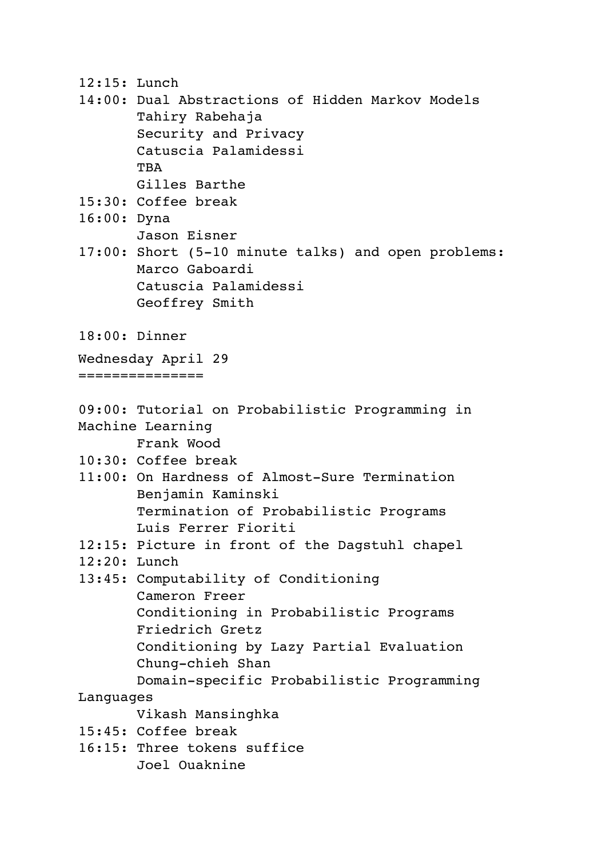- 12:15: Lunch
- 14:00: Dual Abstractions of Hidden Markov Models Tahiry Rabehaja Security and Privacy Catuscia Palamidessi **TBA** Gilles Barthe
- 15:30: Coffee break
- 16:00: Dyna Jason Eisner
- 17:00: Short (5-10 minute talks) and open problems: Marco Gaboardi Catuscia Palamidessi Geoffrey Smith
- 18:00: Dinner

Wednesday April 29

===============

09:00: Tutorial on Probabilistic Programming in Machine Learning

Frank Wood

- 10:30: Coffee break
- 11:00: On Hardness of Almost-Sure Termination Benjamin Kaminski Termination of Probabilistic Programs Luis Ferrer Fioriti
- 12:15: Picture in front of the Dagstuhl chapel
- 12:20: Lunch
- 13:45: Computability of Conditioning Cameron Freer Conditioning in Probabilistic Programs Friedrich Gretz Conditioning by Lazy Partial Evaluation Chung-chieh Shan Domain-specific Probabilistic Programming

Languages

Vikash Mansinghka

- 15:45: Coffee break
- 16:15: Three tokens suffice Joel Ouaknine